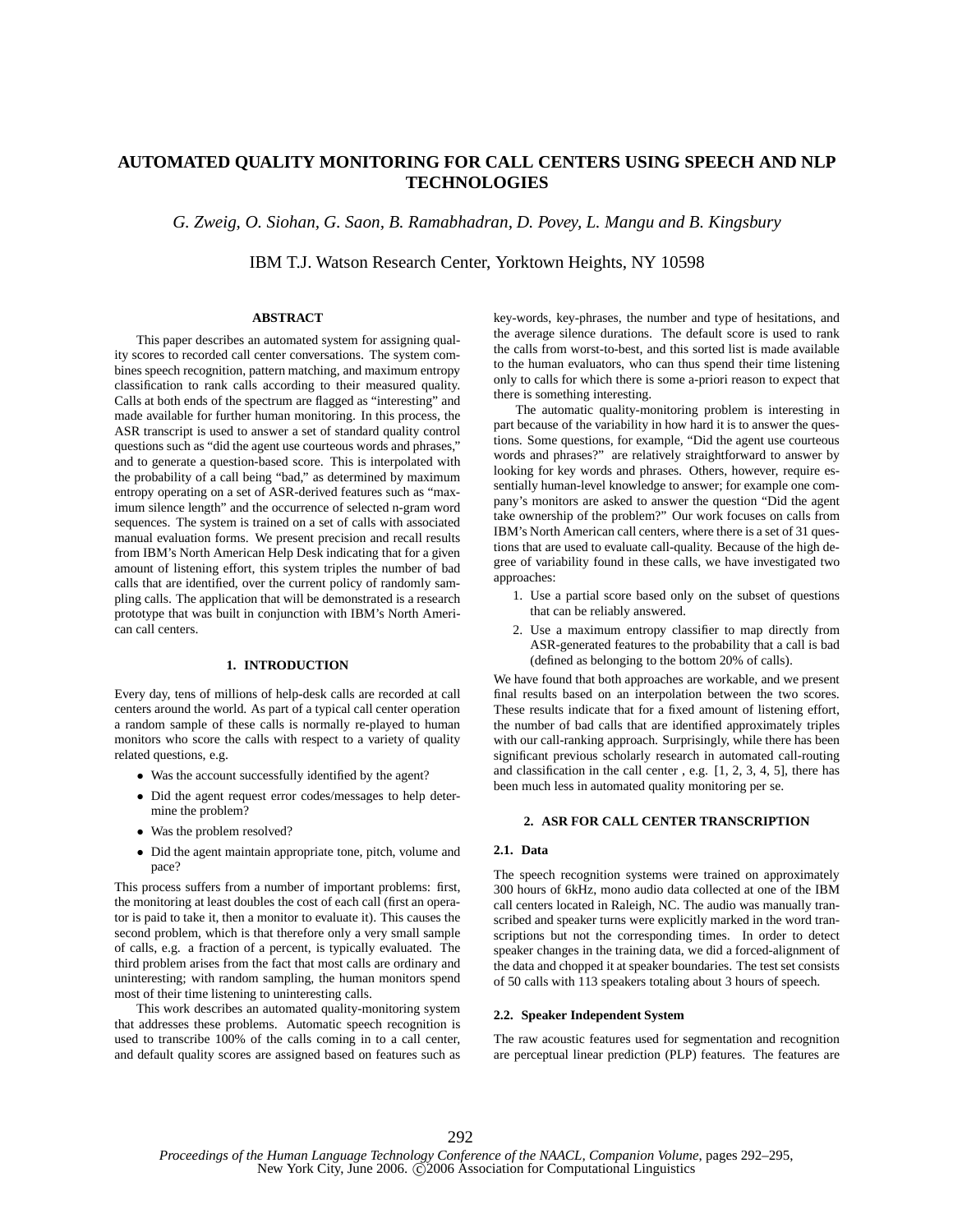# **AUTOMATED QUALITY MONITORING FOR CALL CENTERS USING SPEECH AND NLP TECHNOLOGIES**

*G. Zweig, O. Siohan, G. Saon, B. Ramabhadran, D. Povey, L. Mangu and B. Kingsbury*

IBM T.J. Watson Research Center, Yorktown Heights, NY 10598

# **ABSTRACT**

This paper describes an automated system for assigning quality scores to recorded call center conversations. The system combines speech recognition, pattern matching, and maximum entropy classification to rank calls according to their measured quality. Calls at both ends of the spectrum are flagged as "interesting" and made available for further human monitoring. In this process, the ASR transcript is used to answer a set of standard quality control questions such as "did the agent use courteous words and phrases," and to generate a question-based score. This is interpolated with the probability of a call being "bad," as determined by maximum entropy operating on a set of ASR-derived features such as "maximum silence length" and the occurrence of selected n-gram word sequences. The system is trained on a set of calls with associated manual evaluation forms. We present precision and recall results from IBM's North American Help Desk indicating that for a given amount of listening effort, this system triples the number of bad calls that are identified, over the current policy of randomly sampling calls. The application that will be demonstrated is a research prototype that was built in conjunction with IBM's North American call centers.

## **1. INTRODUCTION**

Every day, tens of millions of help-desk calls are recorded at call centers around the world. As part of a typical call center operation a random sample of these calls is normally re-played to human monitors who score the calls with respect to a variety of quality related questions, e.g.

- Was the account successfully identified by the agent?
- Did the agent request error codes/messages to help determine the problem?
- Was the problem resolved?
- Did the agent maintain appropriate tone, pitch, volume and pace?

This process suffers from a number of important problems: first, the monitoring at least doubles the cost of each call (first an operator is paid to take it, then a monitor to evaluate it). This causes the second problem, which is that therefore only a very small sample of calls, e.g. a fraction of a percent, is typically evaluated. The third problem arises from the fact that most calls are ordinary and uninteresting; with random sampling, the human monitors spend most of their time listening to uninteresting calls.

This work describes an automated quality-monitoring system that addresses these problems. Automatic speech recognition is used to transcribe 100% of the calls coming in to a call center, and default quality scores are assigned based on features such as key-words, key-phrases, the number and type of hesitations, and the average silence durations. The default score is used to rank the calls from worst-to-best, and this sorted list is made available to the human evaluators, who can thus spend their time listening only to calls for which there is some a-priori reason to expect that there is something interesting.

The automatic quality-monitoring problem is interesting in part because of the variability in how hard it is to answer the questions. Some questions, for example, "Did the agent use courteous words and phrases?" are relatively straightforward to answer by looking for key words and phrases. Others, however, require essentially human-level knowledge to answer; for example one company's monitors are asked to answer the question "Did the agent take ownership of the problem?" Our work focuses on calls from IBM's North American call centers, where there is a set of 31 questions that are used to evaluate call-quality. Because of the high degree of variability found in these calls, we have investigated two approaches:

- 1. Use a partial score based only on the subset of questions that can be reliably answered.
- 2. Use a maximum entropy classifier to map directly from ASR-generated features to the probability that a call is bad (defined as belonging to the bottom 20% of calls).

We have found that both approaches are workable, and we present final results based on an interpolation between the two scores. These results indicate that for a fixed amount of listening effort, the number of bad calls that are identified approximately triples with our call-ranking approach. Surprisingly, while there has been significant previous scholarly research in automated call-routing and classification in the call center , e.g. [1, 2, 3, 4, 5], there has been much less in automated quality monitoring per se.

# **2. ASR FOR CALL CENTER TRANSCRIPTION**

# **2.1. Data**

The speech recognition systems were trained on approximately 300 hours of 6kHz, mono audio data collected at one of the IBM call centers located in Raleigh, NC. The audio was manually transcribed and speaker turns were explicitly marked in the word transcriptions but not the corresponding times. In order to detect speaker changes in the training data, we did a forced-alignment of the data and chopped it at speaker boundaries. The test set consists of 50 calls with 113 speakers totaling about 3 hours of speech.

## **2.2. Speaker Independent System**

The raw acoustic features used for segmentation and recognition are perceptual linear prediction (PLP) features. The features are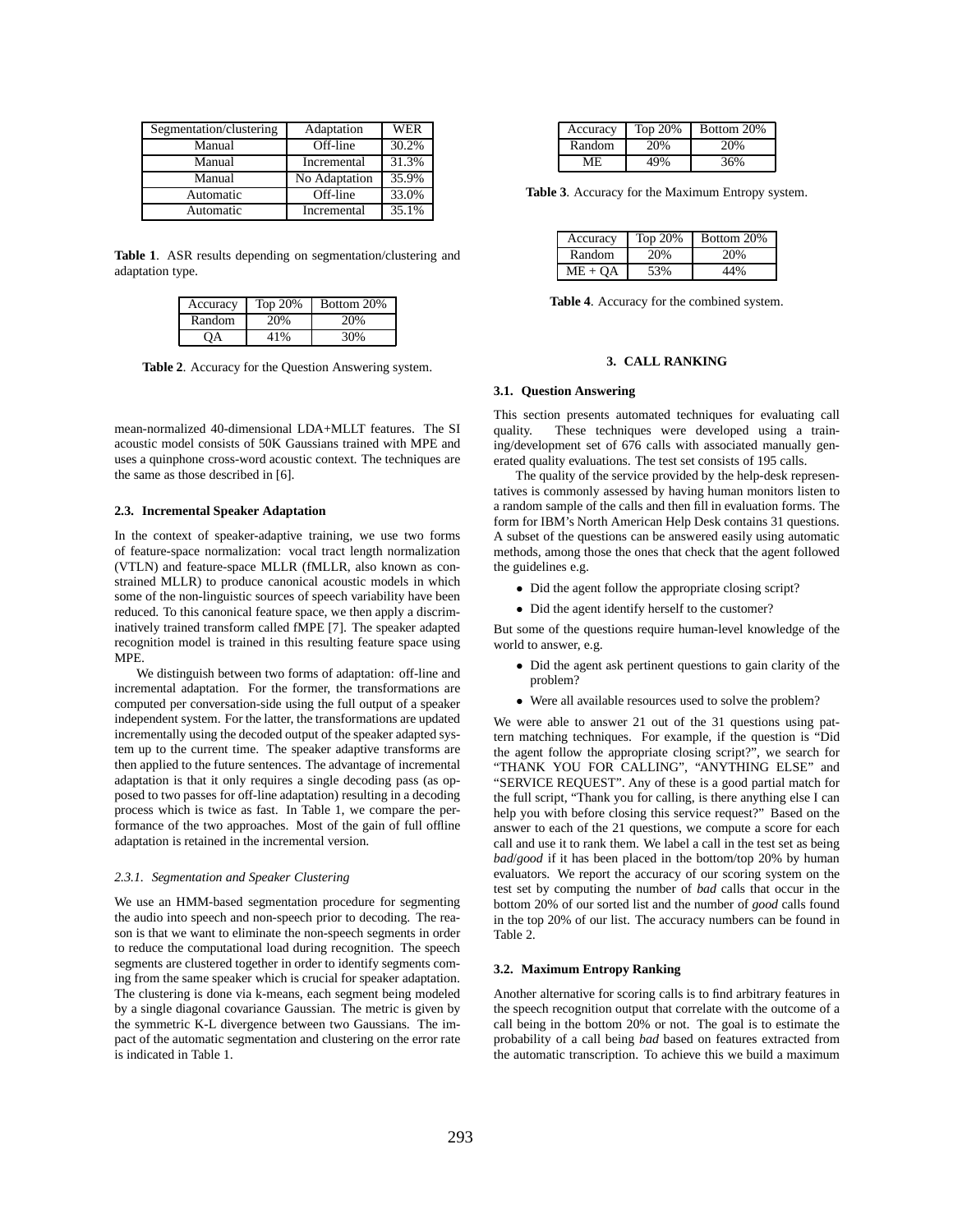| Segmentation/clustering | Adaptation    | <b>WER</b> |
|-------------------------|---------------|------------|
| Manual                  | Off-line      | 30.2%      |
| Manual                  | Incremental   | 31.3%      |
| Manual                  | No Adaptation | 35.9%      |
| Automatic               | Off-line      | 33.0%      |
| Automatic               | Incremental   | 35.1%      |

**Table 1**. ASR results depending on segmentation/clustering and adaptation type.

| Accuracy | <b>Top 20%</b> | Bottom 20% |
|----------|----------------|------------|
| Random   | 20%            | 20%        |
| ∩∆       | 41%            | 30%        |

**Table 2**. Accuracy for the Question Answering system.

mean-normalized 40-dimensional LDA+MLLT features. The SI acoustic model consists of 50K Gaussians trained with MPE and uses a quinphone cross-word acoustic context. The techniques are the same as those described in [6].

## **2.3. Incremental Speaker Adaptation**

In the context of speaker-adaptive training, we use two forms of feature-space normalization: vocal tract length normalization (VTLN) and feature-space MLLR (fMLLR, also known as constrained MLLR) to produce canonical acoustic models in which some of the non-linguistic sources of speech variability have been reduced. To this canonical feature space, we then apply a discriminatively trained transform called fMPE [7]. The speaker adapted recognition model is trained in this resulting feature space using MPE.

We distinguish between two forms of adaptation: off-line and incremental adaptation. For the former, the transformations are computed per conversation-side using the full output of a speaker independent system. For the latter, the transformations are updated incrementally using the decoded output of the speaker adapted system up to the current time. The speaker adaptive transforms are then applied to the future sentences. The advantage of incremental adaptation is that it only requires a single decoding pass (as opposed to two passes for off-line adaptation) resulting in a decoding process which is twice as fast. In Table 1, we compare the performance of the two approaches. Most of the gain of full offline adaptation is retained in the incremental version.

#### *2.3.1. Segmentation and Speaker Clustering*

We use an HMM-based segmentation procedure for segmenting the audio into speech and non-speech prior to decoding. The reason is that we want to eliminate the non-speech segments in order to reduce the computational load during recognition. The speech segments are clustered together in order to identify segments coming from the same speaker which is crucial for speaker adaptation. The clustering is done via k-means, each segment being modeled by a single diagonal covariance Gaussian. The metric is given by the symmetric K-L divergence between two Gaussians. The impact of the automatic segmentation and clustering on the error rate is indicated in Table 1.

| Accuracy | <b>Top 20%</b> | Bottom 20% |
|----------|----------------|------------|
| Random   | 20%            | 20%        |
| MF       | 49%            | 36%        |

**Table 3**. Accuracy for the Maximum Entropy system.

| Accuracy  | Top 20% | Bottom 20% |
|-----------|---------|------------|
| Random    | 20%     | 20%        |
| $ME + OA$ | 53%     | 44%        |

**Table 4**. Accuracy for the combined system.

# **3. CALL RANKING**

#### **3.1. Question Answering**

This section presents automated techniques for evaluating call quality. These techniques were developed using a training/development set of 676 calls with associated manually generated quality evaluations. The test set consists of 195 calls.

The quality of the service provided by the help-desk representatives is commonly assessed by having human monitors listen to a random sample of the calls and then fill in evaluation forms. The form for IBM's North American Help Desk contains 31 questions. A subset of the questions can be answered easily using automatic methods, among those the ones that check that the agent followed the guidelines e.g.

- Did the agent follow the appropriate closing script?
- Did the agent identify herself to the customer?

But some of the questions require human-level knowledge of the world to answer, e.g.

- Did the agent ask pertinent questions to gain clarity of the problem?
- Were all available resources used to solve the problem?

We were able to answer 21 out of the 31 questions using pattern matching techniques. For example, if the question is "Did the agent follow the appropriate closing script?", we search for "THANK YOU FOR CALLING", "ANYTHING ELSE" and "SERVICE REQUEST". Any of these is a good partial match for the full script, "Thank you for calling, is there anything else I can help you with before closing this service request?" Based on the answer to each of the 21 questions, we compute a score for each call and use it to rank them. We label a call in the test set as being *bad*/*good* if it has been placed in the bottom/top 20% by human evaluators. We report the accuracy of our scoring system on the test set by computing the number of *bad* calls that occur in the bottom 20% of our sorted list and the number of *good* calls found in the top 20% of our list. The accuracy numbers can be found in Table 2.

#### **3.2. Maximum Entropy Ranking**

Another alternative for scoring calls is to find arbitrary features in the speech recognition output that correlate with the outcome of a call being in the bottom 20% or not. The goal is to estimate the probability of a call being *bad* based on features extracted from the automatic transcription. To achieve this we build a maximum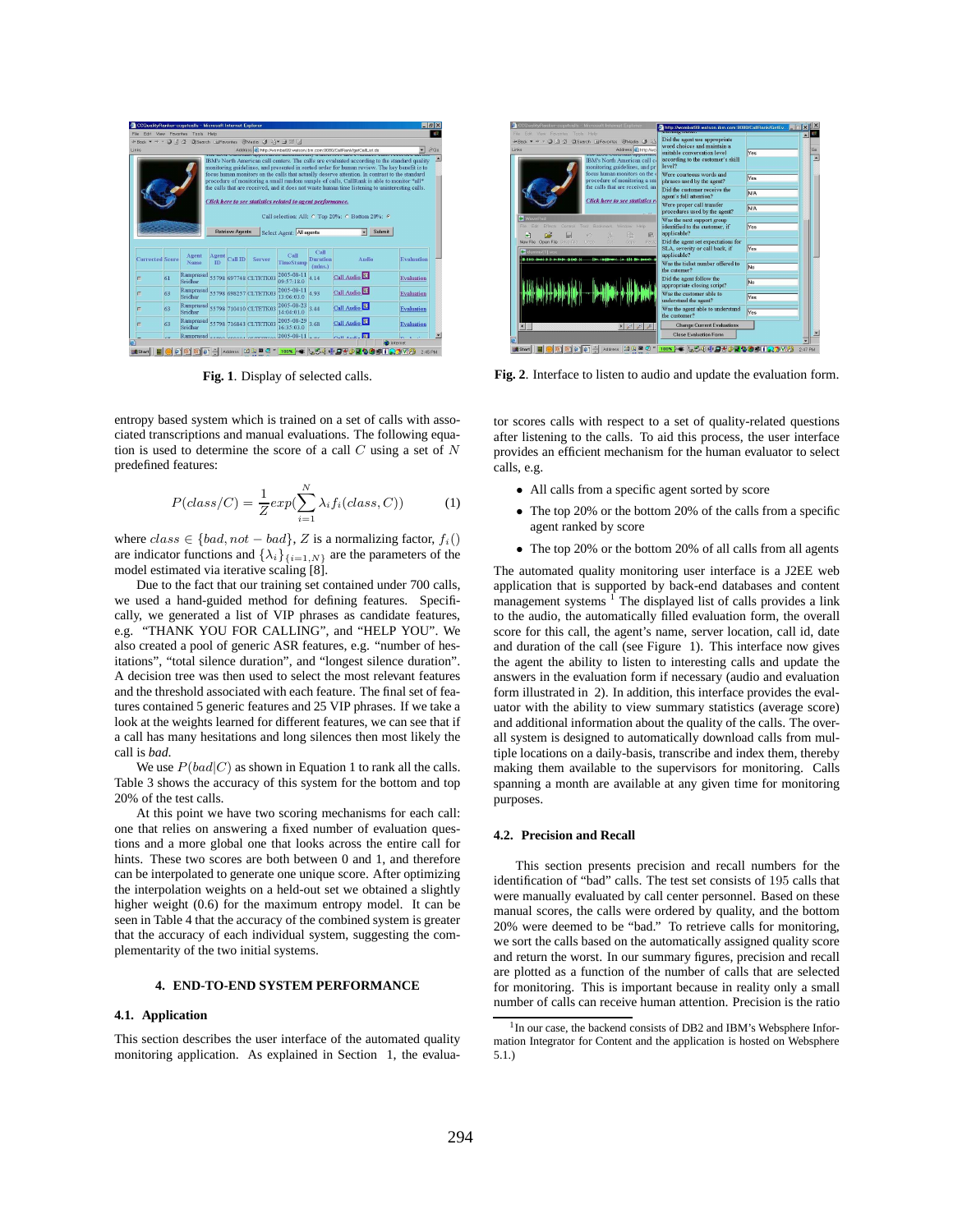| FI <sub>o</sub>        |    | Edit View Favorites Tools Help |            |                        |                                                             |                                                            |                             |                                                                                                                                                                                                                                                                                                                                                                                                                                                                                                                                                   | $- B $ X   |
|------------------------|----|--------------------------------|------------|------------------------|-------------------------------------------------------------|------------------------------------------------------------|-----------------------------|---------------------------------------------------------------------------------------------------------------------------------------------------------------------------------------------------------------------------------------------------------------------------------------------------------------------------------------------------------------------------------------------------------------------------------------------------------------------------------------------------------------------------------------------------|------------|
|                        |    |                                |            |                        | +Back ▼ → - ⓒ 요 십 · QSearch LiFovortes - BMedia ⓒ 스 - 그 그 모 |                                                            |                             |                                                                                                                                                                                                                                                                                                                                                                                                                                                                                                                                                   |            |
| Links                  |    |                                |            |                        |                                                             |                                                            |                             | Address 3 http://wombet99.wetson.ibm.com/9080/CalReniv/getCalList.do                                                                                                                                                                                                                                                                                                                                                                                                                                                                              | $\rho$ Go  |
|                        |    |                                |            |                        |                                                             | Click here to see statistics related to agent performance. |                             | IBM's North American call centers. The calls are evaluated according to the standard quality<br>monitoring guidelines, and presented in sorted order for human review. The key benefit is to<br>focus human monitors on the calls that actually deserve attention. In contrast to the standard<br>procedure of monitoring a small random sample of calls, CallRank is able to monitor *all*<br>the calls that are received, and it does not waste human time listening to uninteresting calls.<br>Call selection: All: C Top 20%: C Bottom 20%: C |            |
|                        |    |                                |            | <b>Retrieve Agents</b> |                                                             | Select Agent: All agents                                   |                             | Submit                                                                                                                                                                                                                                                                                                                                                                                                                                                                                                                                            |            |
| <b>Corrected Score</b> |    | Agent<br>Name                  | Agent<br>m | Call ID                | Server                                                      | Call<br>TimeStamp                                          | Call<br>Duration<br>(mins.) | Audio                                                                                                                                                                                                                                                                                                                                                                                                                                                                                                                                             | Evaluation |
| Е                      | 61 | Ramprasad<br>Sridhar           |            |                        | 55798 697748 CLTETK03                                       | 2005-08-11<br>09:57:18.0                                   | 4.14                        | Call Audio <sup>23</sup>                                                                                                                                                                                                                                                                                                                                                                                                                                                                                                                          | Evaluation |
| г                      | 63 | Sridhar                        |            |                        | Ramprasad 55798 698257 CLTETK03                             | 2005-08-11<br>13:06:03.0                                   | 4.93                        | Call Audio                                                                                                                                                                                                                                                                                                                                                                                                                                                                                                                                        | Evaluation |
| г                      | 63 | Sridhar                        |            |                        | Ramprasad 55798 710410 CLTETK03                             | 2005-08-23<br>14:04:01.0                                   | 3.44                        | Call Audio <sup>3</sup>                                                                                                                                                                                                                                                                                                                                                                                                                                                                                                                           | Evaluation |
| F                      | 63 | Sridhar                        |            |                        | Ramprasad 55798 716843 CLTETK03                             | 2005-08-29 3.68<br>16:35:03.0                              |                             | Call Audio                                                                                                                                                                                                                                                                                                                                                                                                                                                                                                                                        | Evaluation |

**Fig. 1**. Display of selected calls.

entropy based system which is trained on a set of calls with associated transcriptions and manual evaluations. The following equation is used to determine the score of a call  $C$  using a set of  $N$ predefined features:

$$
P(class/C) = \frac{1}{Z} exp(\sum_{i=1}^{N} \lambda_i f_i (class, C))
$$
 (1)

where  $class \in \{bad, not - bad\}$ , Z is a normalizing factor,  $f_i()$ are indicator functions and  $\{\lambda_i\}_{i=1,N}$  are the parameters of the model estimated via iterative scaling [8].

Due to the fact that our training set contained under 700 calls, we used a hand-guided method for defining features. Specifically, we generated a list of VIP phrases as candidate features, e.g. "THANK YOU FOR CALLING", and "HELP YOU". We also created a pool of generic ASR features, e.g. "number of hesitations", "total silence duration", and "longest silence duration". A decision tree was then used to select the most relevant features and the threshold associated with each feature. The final set of features contained 5 generic features and 25 VIP phrases. If we take a look at the weights learned for different features, we can see that if a call has many hesitations and long silences then most likely the call is *bad*.

We use  $P(bad|C)$  as shown in Equation 1 to rank all the calls. Table 3 shows the accuracy of this system for the bottom and top 20% of the test calls.

At this point we have two scoring mechanisms for each call: one that relies on answering a fixed number of evaluation questions and a more global one that looks across the entire call for hints. These two scores are both between 0 and 1, and therefore can be interpolated to generate one unique score. After optimizing the interpolation weights on a held-out set we obtained a slightly higher weight (0.6) for the maximum entropy model. It can be seen in Table 4 that the accuracy of the combined system is greater that the accuracy of each individual system, suggesting the complementarity of the two initial systems.

## **4. END-TO-END SYSTEM PERFORMANCE**

#### **4.1. Application**

This section describes the user interface of the automated quality monitoring application. As explained in Section 1, the evalua-



**Fig. 2**. Interface to listen to audio and update the evaluation form.

tor scores calls with respect to a set of quality-related questions after listening to the calls. To aid this process, the user interface provides an efficient mechanism for the human evaluator to select calls, e.g.

- All calls from a specific agent sorted by score
- The top 20% or the bottom 20% of the calls from a specific agent ranked by score
- The top 20% or the bottom 20% of all calls from all agents

The automated quality monitoring user interface is a J2EE web application that is supported by back-end databases and content management systems <sup>1</sup> The displayed list of calls provides a link to the audio, the automatically filled evaluation form, the overall score for this call, the agent's name, server location, call id, date and duration of the call (see Figure 1). This interface now gives the agent the ability to listen to interesting calls and update the answers in the evaluation form if necessary (audio and evaluation form illustrated in 2). In addition, this interface provides the evaluator with the ability to view summary statistics (average score) and additional information about the quality of the calls. The overall system is designed to automatically download calls from multiple locations on a daily-basis, transcribe and index them, thereby making them available to the supervisors for monitoring. Calls spanning a month are available at any given time for monitoring purposes.

### **4.2. Precision and Recall**

This section presents precision and recall numbers for the identification of "bad" calls. The test set consists of 195 calls that were manually evaluated by call center personnel. Based on these manual scores, the calls were ordered by quality, and the bottom 20% were deemed to be "bad." To retrieve calls for monitoring, we sort the calls based on the automatically assigned quality score and return the worst. In our summary figures, precision and recall are plotted as a function of the number of calls that are selected for monitoring. This is important because in reality only a small number of calls can receive human attention. Precision is the ratio

<sup>&</sup>lt;sup>1</sup>In our case, the backend consists of DB2 and IBM's Websphere Information Integrator for Content and the application is hosted on Websphere 5.1.)